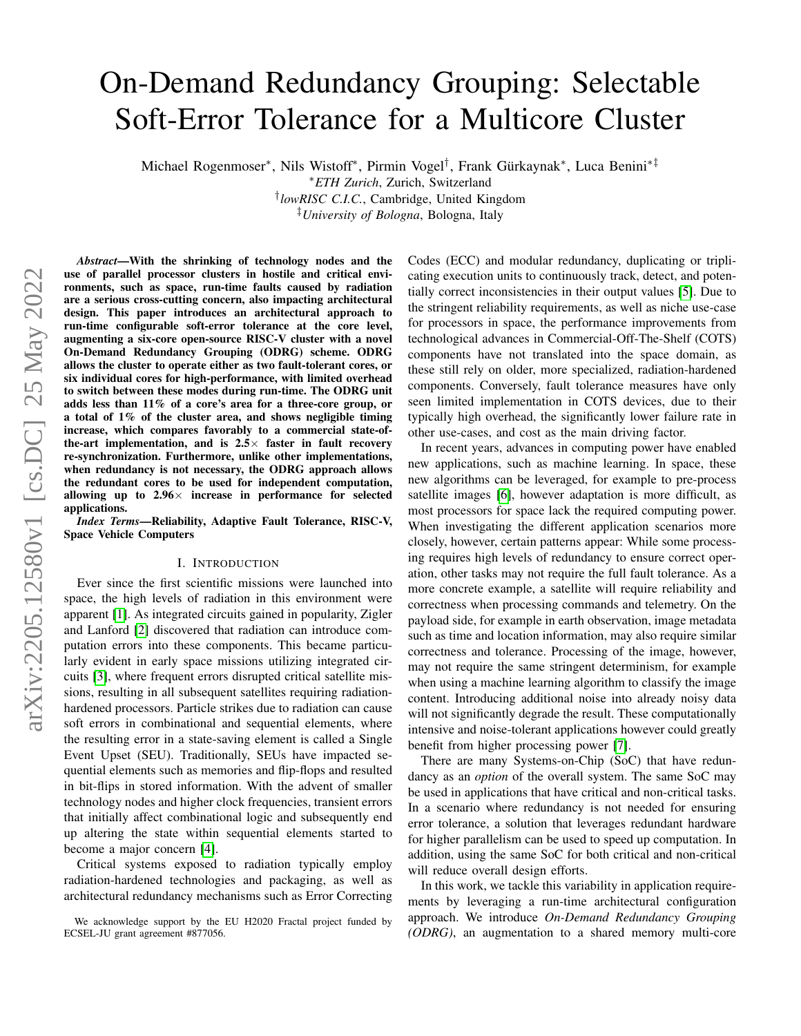# On-Demand Redundancy Grouping: Selectable Soft-Error Tolerance for a Multicore Cluster

Michael Rogenmoser\*, Nils Wistoff\*, Pirmin Vogel<sup>†</sup>, Frank Gürkaynak\*, Luca Benini<sup>∗‡</sup>

† *lowRISC C.I.C.*, Cambridge, United Kingdom ‡*University of Bologna*, Bologna, Italy

*Abstract*—With the shrinking of technology nodes and the use of parallel processor clusters in hostile and critical environments, such as space, run-time faults caused by radiation are a serious cross-cutting concern, also impacting architectural design. This paper introduces an architectural approach to run-time configurable soft-error tolerance at the core level, augmenting a six-core open-source RISC-V cluster with a novel On-Demand Redundancy Grouping (ODRG) scheme. ODRG allows the cluster to operate either as two fault-tolerant cores, or six individual cores for high-performance, with limited overhead to switch between these modes during run-time. The ODRG unit adds less than 11% of a core's area for a three-core group, or a total of 1% of the cluster area, and shows negligible timing increase, which compares favorably to a commercial state-ofthe-art implementation, and is  $2.5\times$  faster in fault recovery re-synchronization. Furthermore, unlike other implementations, when redundancy is not necessary, the ODRG approach allows the redundant cores to be used for independent computation, allowing up to  $2.96\times$  increase in performance for selected applications.

*Index Terms*—Reliability, Adaptive Fault Tolerance, RISC-V, Space Vehicle Computers

## I. INTRODUCTION

Ever since the first scientific missions were launched into space, the high levels of radiation in this environment were apparent [\[1\]](#page-5-0). As integrated circuits gained in popularity, Zigler and Lanford [\[2\]](#page-5-1) discovered that radiation can introduce computation errors into these components. This became particularly evident in early space missions utilizing integrated circuits [\[3\]](#page-5-2), where frequent errors disrupted critical satellite missions, resulting in all subsequent satellites requiring radiationhardened processors. Particle strikes due to radiation can cause soft errors in combinational and sequential elements, where the resulting error in a state-saving element is called a Single Event Upset (SEU). Traditionally, SEUs have impacted sequential elements such as memories and flip-flops and resulted in bit-flips in stored information. With the advent of smaller technology nodes and higher clock frequencies, transient errors that initially affect combinational logic and subsequently end up altering the state within sequential elements started to become a major concern [\[4\]](#page-5-3).

Critical systems exposed to radiation typically employ radiation-hardened technologies and packaging, as well as architectural redundancy mechanisms such as Error Correcting Codes (ECC) and modular redundancy, duplicating or triplicating execution units to continuously track, detect, and potentially correct inconsistencies in their output values [\[5\]](#page-5-4). Due to the stringent reliability requirements, as well as niche use-case for processors in space, the performance improvements from technological advances in Commercial-Off-The-Shelf (COTS) components have not translated into the space domain, as these still rely on older, more specialized, radiation-hardened components. Conversely, fault tolerance measures have only seen limited implementation in COTS devices, due to their typically high overhead, the significantly lower failure rate in other use-cases, and cost as the main driving factor.

In recent years, advances in computing power have enabled new applications, such as machine learning. In space, these new algorithms can be leveraged, for example to pre-process satellite images [\[6\]](#page-5-5), however adaptation is more difficult, as most processors for space lack the required computing power. When investigating the different application scenarios more closely, however, certain patterns appear: While some processing requires high levels of redundancy to ensure correct operation, other tasks may not require the full fault tolerance. As a more concrete example, a satellite will require reliability and correctness when processing commands and telemetry. On the payload side, for example in earth observation, image metadata such as time and location information, may also require similar correctness and tolerance. Processing of the image, however, may not require the same stringent determinism, for example when using a machine learning algorithm to classify the image content. Introducing additional noise into already noisy data will not significantly degrade the result. These computationally intensive and noise-tolerant applications however could greatly benefit from higher processing power [\[7\]](#page-5-6).

There are many Systems-on-Chip (SoC) that have redundancy as an *option* of the overall system. The same SoC may be used in applications that have critical and non-critical tasks. In a scenario where redundancy is not needed for ensuring error tolerance, a solution that leverages redundant hardware for higher parallelism can be used to speed up computation. In addition, using the same SoC for both critical and non-critical will reduce overall design efforts.

In this work, we tackle this variability in application requirements by leveraging a run-time architectural configuration approach. We introduce *On-Demand Redundancy Grouping (ODRG)*, an augmentation to a shared memory multi-core

<sup>∗</sup>*ETH Zurich*, Zurich, Switzerland

We acknowledge support by the EU H2020 Fractal project funded by ECSEL-JU grant agreement #877056.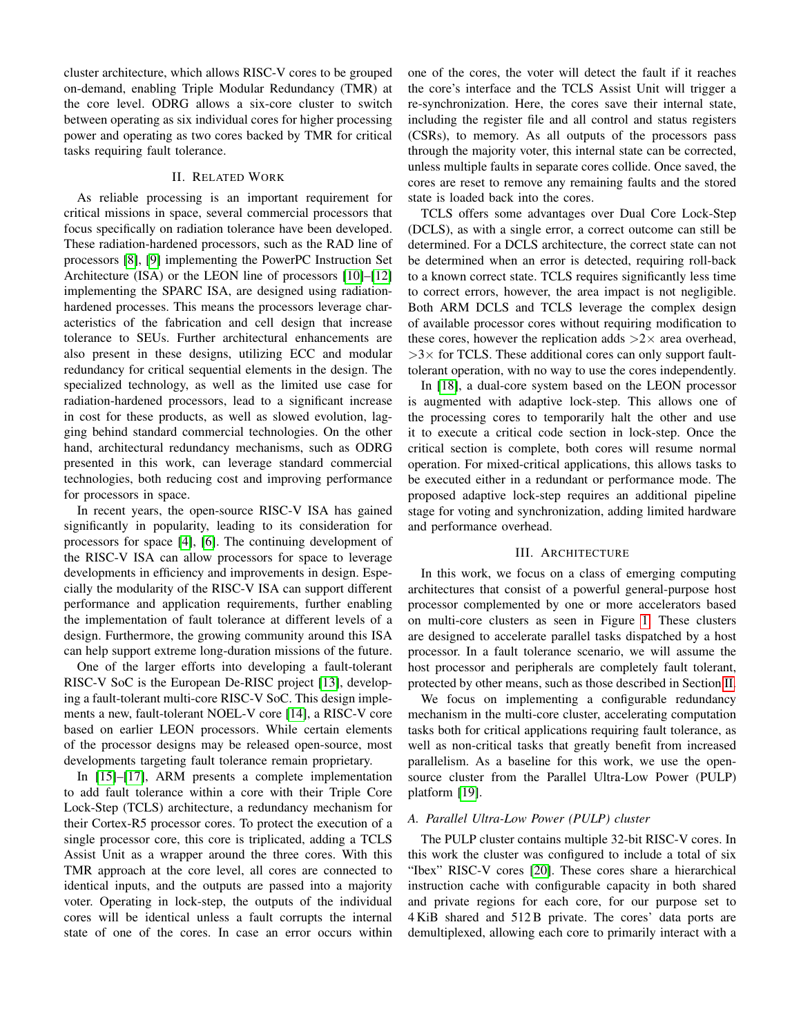cluster architecture, which allows RISC-V cores to be grouped on-demand, enabling Triple Modular Redundancy (TMR) at the core level. ODRG allows a six-core cluster to switch between operating as six individual cores for higher processing power and operating as two cores backed by TMR for critical tasks requiring fault tolerance.

# II. RELATED WORK

<span id="page-1-0"></span>As reliable processing is an important requirement for critical missions in space, several commercial processors that focus specifically on radiation tolerance have been developed. These radiation-hardened processors, such as the RAD line of processors [\[8\]](#page-5-7), [\[9\]](#page-5-8) implementing the PowerPC Instruction Set Architecture (ISA) or the LEON line of processors [\[10\]](#page-5-9)–[\[12\]](#page-5-10) implementing the SPARC ISA, are designed using radiationhardened processes. This means the processors leverage characteristics of the fabrication and cell design that increase tolerance to SEUs. Further architectural enhancements are also present in these designs, utilizing ECC and modular redundancy for critical sequential elements in the design. The specialized technology, as well as the limited use case for radiation-hardened processors, lead to a significant increase in cost for these products, as well as slowed evolution, lagging behind standard commercial technologies. On the other hand, architectural redundancy mechanisms, such as ODRG presented in this work, can leverage standard commercial technologies, both reducing cost and improving performance for processors in space.

In recent years, the open-source RISC-V ISA has gained significantly in popularity, leading to its consideration for processors for space [\[4\]](#page-5-3), [\[6\]](#page-5-5). The continuing development of the RISC-V ISA can allow processors for space to leverage developments in efficiency and improvements in design. Especially the modularity of the RISC-V ISA can support different performance and application requirements, further enabling the implementation of fault tolerance at different levels of a design. Furthermore, the growing community around this ISA can help support extreme long-duration missions of the future.

One of the larger efforts into developing a fault-tolerant RISC-V SoC is the European De-RISC project [\[13\]](#page-5-11), developing a fault-tolerant multi-core RISC-V SoC. This design implements a new, fault-tolerant NOEL-V core [\[14\]](#page-5-12), a RISC-V core based on earlier LEON processors. While certain elements of the processor designs may be released open-source, most developments targeting fault tolerance remain proprietary.

In [\[15\]](#page-5-13)–[\[17\]](#page-5-14), ARM presents a complete implementation to add fault tolerance within a core with their Triple Core Lock-Step (TCLS) architecture, a redundancy mechanism for their Cortex-R5 processor cores. To protect the execution of a single processor core, this core is triplicated, adding a TCLS Assist Unit as a wrapper around the three cores. With this TMR approach at the core level, all cores are connected to identical inputs, and the outputs are passed into a majority voter. Operating in lock-step, the outputs of the individual cores will be identical unless a fault corrupts the internal state of one of the cores. In case an error occurs within one of the cores, the voter will detect the fault if it reaches the core's interface and the TCLS Assist Unit will trigger a re-synchronization. Here, the cores save their internal state, including the register file and all control and status registers (CSRs), to memory. As all outputs of the processors pass through the majority voter, this internal state can be corrected, unless multiple faults in separate cores collide. Once saved, the cores are reset to remove any remaining faults and the stored state is loaded back into the cores.

TCLS offers some advantages over Dual Core Lock-Step (DCLS), as with a single error, a correct outcome can still be determined. For a DCLS architecture, the correct state can not be determined when an error is detected, requiring roll-back to a known correct state. TCLS requires significantly less time to correct errors, however, the area impact is not negligible. Both ARM DCLS and TCLS leverage the complex design of available processor cores without requiring modification to these cores, however the replication adds  $>2\times$  area overhead,  $>3\times$  for TCLS. These additional cores can only support faulttolerant operation, with no way to use the cores independently.

In [\[18\]](#page-5-15), a dual-core system based on the LEON processor is augmented with adaptive lock-step. This allows one of the processing cores to temporarily halt the other and use it to execute a critical code section in lock-step. Once the critical section is complete, both cores will resume normal operation. For mixed-critical applications, this allows tasks to be executed either in a redundant or performance mode. The proposed adaptive lock-step requires an additional pipeline stage for voting and synchronization, adding limited hardware and performance overhead.

# III. ARCHITECTURE

In this work, we focus on a class of emerging computing architectures that consist of a powerful general-purpose host processor complemented by one or more accelerators based on multi-core clusters as seen in Figure [1.](#page-2-0) These clusters are designed to accelerate parallel tasks dispatched by a host processor. In a fault tolerance scenario, we will assume the host processor and peripherals are completely fault tolerant, protected by other means, such as those described in Section [II.](#page-1-0)

We focus on implementing a configurable redundancy mechanism in the multi-core cluster, accelerating computation tasks both for critical applications requiring fault tolerance, as well as non-critical tasks that greatly benefit from increased parallelism. As a baseline for this work, we use the opensource cluster from the Parallel Ultra-Low Power (PULP) platform [\[19\]](#page-5-16).

# *A. Parallel Ultra-Low Power (PULP) cluster*

The PULP cluster contains multiple 32-bit RISC-V cores. In this work the cluster was configured to include a total of six "Ibex" RISC-V cores [\[20\]](#page-5-17). These cores share a hierarchical instruction cache with configurable capacity in both shared and private regions for each core, for our purpose set to 4 KiB shared and 512 B private. The cores' data ports are demultiplexed, allowing each core to primarily interact with a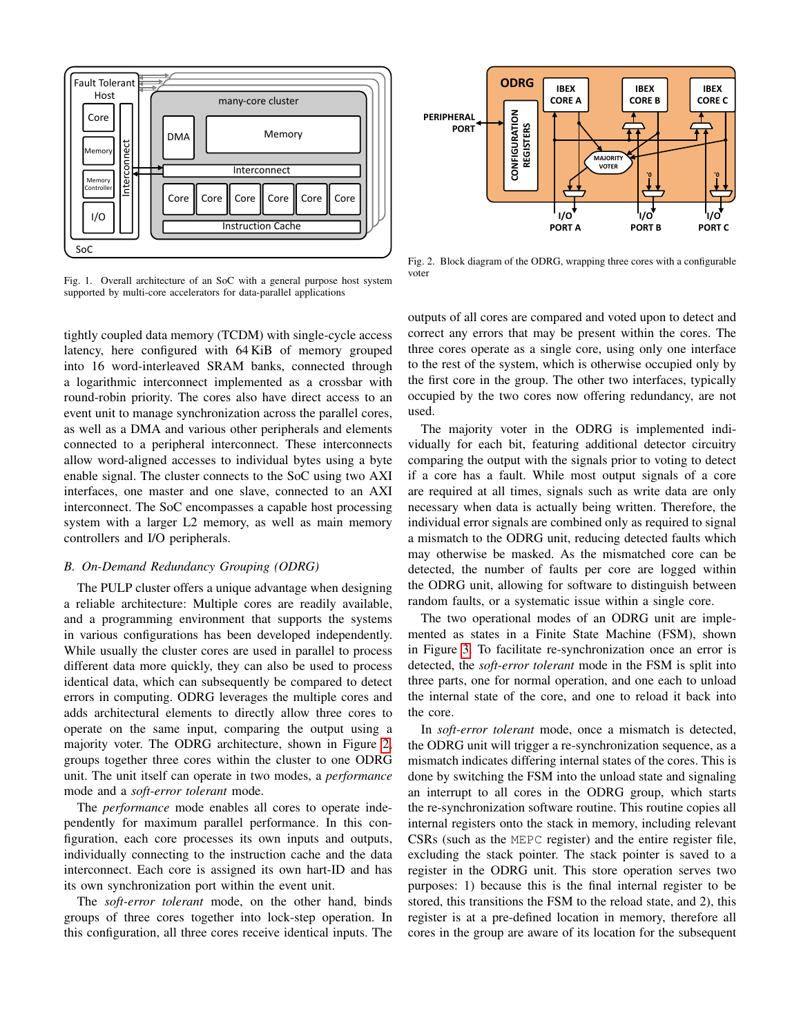

<span id="page-2-0"></span>Fig. 1. Overall architecture of an SoC with a general purpose host system supported by multi-core accelerators for data-parallel applications

tightly coupled data memory (TCDM) with single-cycle access latency, here configured with 64 KiB of memory grouped into 16 word-interleaved SRAM banks, connected through a logarithmic interconnect implemented as a crossbar with round-robin priority. The cores also have direct access to an event unit to manage synchronization across the parallel cores, as well as a DMA and various other peripherals and elements connected to a peripheral interconnect. These interconnects allow word-aligned accesses to individual bytes using a byte enable signal. The cluster connects to the SoC using two AXI interfaces, one master and one slave, connected to an AXI interconnect. The SoC encompasses a capable host processing system with a larger L2 memory, as well as main memory controllers and I/O peripherals.

## *B. On-Demand Redundancy Grouping (ODRG)*

The PULP cluster offers a unique advantage when designing a reliable architecture: Multiple cores are readily available, and a programming environment that supports the systems in various configurations has been developed independently. While usually the cluster cores are used in parallel to process different data more quickly, they can also be used to process identical data, which can subsequently be compared to detect errors in computing. ODRG leverages the multiple cores and adds architectural elements to directly allow three cores to operate on the same input, comparing the output using a majority voter. The ODRG architecture, shown in Figure [2,](#page-2-1) groups together three cores within the cluster to one ODRG unit. The unit itself can operate in two modes, a *performance* mode and a *soft-error tolerant* mode.

The *performance* mode enables all cores to operate independently for maximum parallel performance. In this configuration, each core processes its own inputs and outputs, individually connecting to the instruction cache and the data interconnect. Each core is assigned its own hart-ID and has its own synchronization port within the event unit.

The *soft-error tolerant* mode, on the other hand, binds groups of three cores together into lock-step operation. In this configuration, all three cores receive identical inputs. The



<span id="page-2-1"></span>Fig. 2. Block diagram of the ODRG, wrapping three cores with a configurable voter

outputs of all cores are compared and voted upon to detect and correct any errors that may be present within the cores. The three cores operate as a single core, using only one interface to the rest of the system, which is otherwise occupied only by the first core in the group. The other two interfaces, typically occupied by the two cores now offering redundancy, are not used.

The majority voter in the ODRG is implemented individually for each bit, featuring additional detector circuitry comparing the output with the signals prior to voting to detect if a core has a fault. While most output signals of a core are required at all times, signals such as write data are only necessary when data is actually being written. Therefore, the individual error signals are combined only as required to signal a mismatch to the ODRG unit, reducing detected faults which may otherwise be masked. As the mismatched core can be detected, the number of faults per core are logged within the ODRG unit, allowing for software to distinguish between random faults, or a systematic issue within a single core.

The two operational modes of an ODRG unit are implemented as states in a Finite State Machine (FSM), shown in Figure [3.](#page-3-0) To facilitate re-synchronization once an error is detected, the *soft-error tolerant* mode in the FSM is split into three parts, one for normal operation, and one each to unload the internal state of the core, and one to reload it back into the core.

In *soft-error tolerant* mode, once a mismatch is detected, the ODRG unit will trigger a re-synchronization sequence, as a mismatch indicates differing internal states of the cores. This is done by switching the FSM into the unload state and signaling an interrupt to all cores in the ODRG group, which starts the re-synchronization software routine. This routine copies all internal registers onto the stack in memory, including relevant CSRs (such as the MEPC register) and the entire register file, excluding the stack pointer. The stack pointer is saved to a register in the ODRG unit. This store operation serves two purposes: 1) because this is the final internal register to be stored, this transitions the FSM to the reload state, and 2), this register is at a pre-defined location in memory, therefore all cores in the group are aware of its location for the subsequent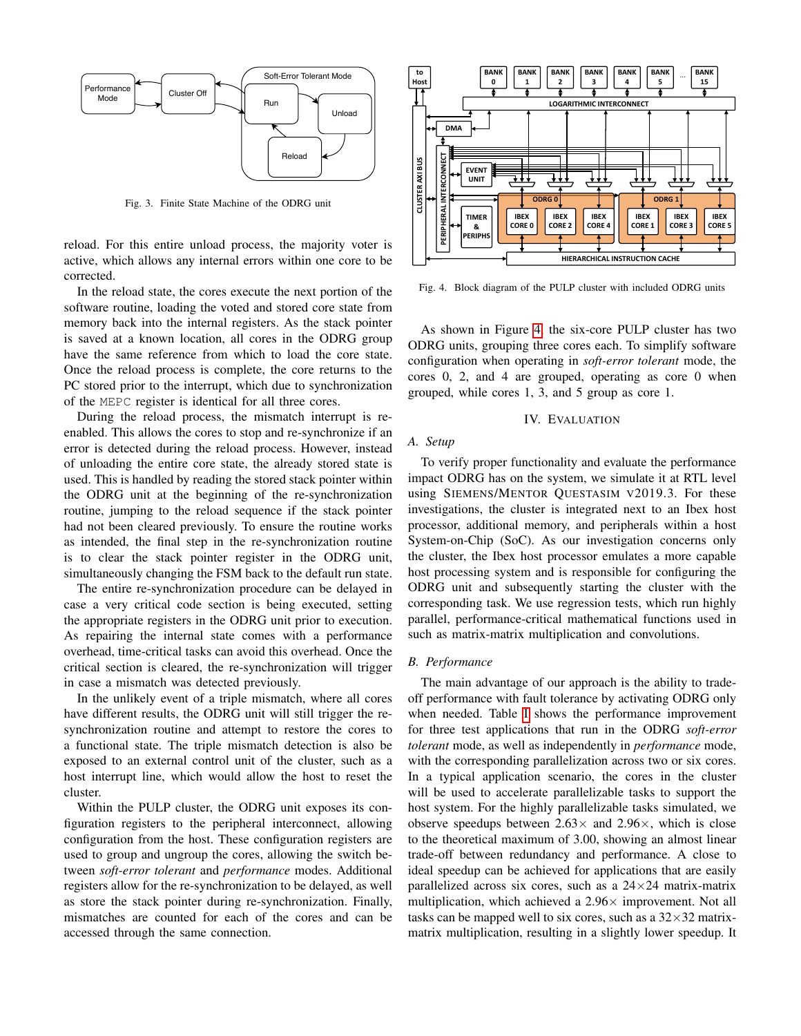

<span id="page-3-0"></span>Fig. 3. Finite State Machine of the ODRG unit

reload. For this entire unload process, the majority voter is active, which allows any internal errors within one core to be corrected.

In the reload state, the cores execute the next portion of the software routine, loading the voted and stored core state from memory back into the internal registers. As the stack pointer is saved at a known location, all cores in the ODRG group have the same reference from which to load the core state. Once the reload process is complete, the core returns to the PC stored prior to the interrupt, which due to synchronization of the MEPC register is identical for all three cores.

During the reload process, the mismatch interrupt is reenabled. This allows the cores to stop and re-synchronize if an error is detected during the reload process. However, instead of unloading the entire core state, the already stored state is used. This is handled by reading the stored stack pointer within the ODRG unit at the beginning of the re-synchronization routine, jumping to the reload sequence if the stack pointer had not been cleared previously. To ensure the routine works as intended, the final step in the re-synchronization routine is to clear the stack pointer register in the ODRG unit, simultaneously changing the FSM back to the default run state.

The entire re-synchronization procedure can be delayed in case a very critical code section is being executed, setting the appropriate registers in the ODRG unit prior to execution. As repairing the internal state comes with a performance overhead, time-critical tasks can avoid this overhead. Once the critical section is cleared, the re-synchronization will trigger in case a mismatch was detected previously.

In the unlikely event of a triple mismatch, where all cores have different results, the ODRG unit will still trigger the resynchronization routine and attempt to restore the cores to a functional state. The triple mismatch detection is also be exposed to an external control unit of the cluster, such as a host interrupt line, which would allow the host to reset the cluster.

Within the PULP cluster, the ODRG unit exposes its configuration registers to the peripheral interconnect, allowing configuration from the host. These configuration registers are used to group and ungroup the cores, allowing the switch between *soft-error tolerant* and *performance* modes. Additional registers allow for the re-synchronization to be delayed, as well as store the stack pointer during re-synchronization. Finally, mismatches are counted for each of the cores and can be accessed through the same connection.



<span id="page-3-1"></span>Fig. 4. Block diagram of the PULP cluster with included ODRG units

As shown in Figure [4,](#page-3-1) the six-core PULP cluster has two ODRG units, grouping three cores each. To simplify software configuration when operating in *soft-error tolerant* mode, the cores 0, 2, and 4 are grouped, operating as core 0 when grouped, while cores 1, 3, and 5 group as core 1.

# IV. EVALUATION

# *A. Setup*

To verify proper functionality and evaluate the performance impact ODRG has on the system, we simulate it at RTL level using SIEMENS/MENTOR QUESTASIM V2019.3. For these investigations, the cluster is integrated next to an Ibex host processor, additional memory, and peripherals within a host System-on-Chip (SoC). As our investigation concerns only the cluster, the Ibex host processor emulates a more capable host processing system and is responsible for configuring the ODRG unit and subsequently starting the cluster with the corresponding task. We use regression tests, which run highly parallel, performance-critical mathematical functions used in such as matrix-matrix multiplication and convolutions.

#### *B. Performance*

The main advantage of our approach is the ability to tradeoff performance with fault tolerance by activating ODRG only when needed. Table [I](#page-4-0) shows the performance improvement for three test applications that run in the ODRG *soft-error tolerant* mode, as well as independently in *performance* mode, with the corresponding parallelization across two or six cores. In a typical application scenario, the cores in the cluster will be used to accelerate parallelizable tasks to support the host system. For the highly parallelizable tasks simulated, we observe speedups between  $2.63\times$  and  $2.96\times$ , which is close to the theoretical maximum of 3.00, showing an almost linear trade-off between redundancy and performance. A close to ideal speedup can be achieved for applications that are easily parallelized across six cores, such as a  $24\times24$  matrix-matrix multiplication, which achieved a  $2.96\times$  improvement. Not all tasks can be mapped well to six cores, such as a  $32\times32$  matrixmatrix multiplication, resulting in a slightly lower speedup. It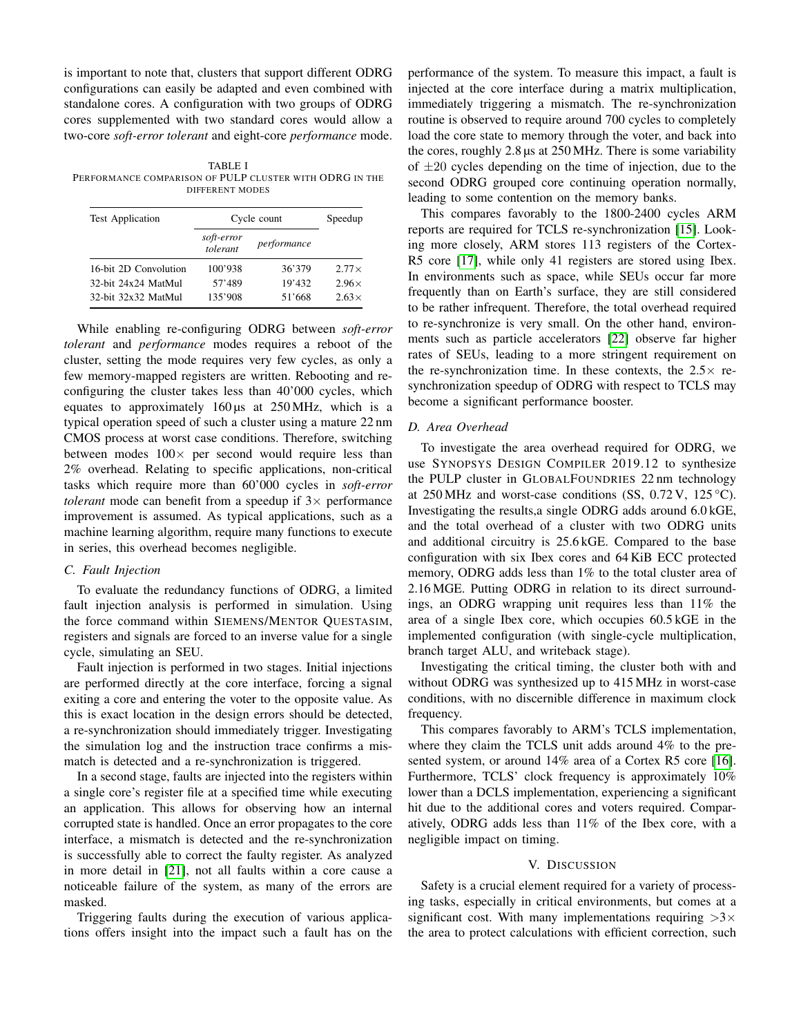is important to note that, clusters that support different ODRG configurations can easily be adapted and even combined with standalone cores. A configuration with two groups of ODRG cores supplemented with two standard cores would allow a two-core *soft-error tolerant* and eight-core *performance* mode.

<span id="page-4-0"></span>TABLE I PERFORMANCE COMPARISON OF PULP CLUSTER WITH ODRG IN THE DIFFERENT MODES

| <b>Test Application</b> | Cycle count            |             | Speedup      |
|-------------------------|------------------------|-------------|--------------|
|                         | soft-error<br>tolerant | performance |              |
| 16-bit 2D Convolution   | 100'938                | 36'379      | $2.77\times$ |
| 32-bit 24x24 MatMul     | 57'489                 | 19'432      | $2.96\times$ |
| 32-bit 32x32 MatMul     | 135'908                | 51'668      | $2.63\times$ |

While enabling re-configuring ODRG between *soft-error tolerant* and *performance* modes requires a reboot of the cluster, setting the mode requires very few cycles, as only a few memory-mapped registers are written. Rebooting and reconfiguring the cluster takes less than 40'000 cycles, which equates to approximately 160 µs at 250 MHz, which is a typical operation speed of such a cluster using a mature 22 nm CMOS process at worst case conditions. Therefore, switching between modes  $100 \times$  per second would require less than 2% overhead. Relating to specific applications, non-critical tasks which require more than 60'000 cycles in *soft-error tolerant* mode can benefit from a speedup if  $3 \times$  performance improvement is assumed. As typical applications, such as a machine learning algorithm, require many functions to execute in series, this overhead becomes negligible.

# *C. Fault Injection*

To evaluate the redundancy functions of ODRG, a limited fault injection analysis is performed in simulation. Using the force command within SIEMENS/MENTOR QUESTASIM, registers and signals are forced to an inverse value for a single cycle, simulating an SEU.

Fault injection is performed in two stages. Initial injections are performed directly at the core interface, forcing a signal exiting a core and entering the voter to the opposite value. As this is exact location in the design errors should be detected, a re-synchronization should immediately trigger. Investigating the simulation log and the instruction trace confirms a mismatch is detected and a re-synchronization is triggered.

In a second stage, faults are injected into the registers within a single core's register file at a specified time while executing an application. This allows for observing how an internal corrupted state is handled. Once an error propagates to the core interface, a mismatch is detected and the re-synchronization is successfully able to correct the faulty register. As analyzed in more detail in [\[21\]](#page-5-18), not all faults within a core cause a noticeable failure of the system, as many of the errors are masked.

Triggering faults during the execution of various applications offers insight into the impact such a fault has on the performance of the system. To measure this impact, a fault is injected at the core interface during a matrix multiplication, immediately triggering a mismatch. The re-synchronization routine is observed to require around 700 cycles to completely load the core state to memory through the voter, and back into the cores, roughly 2.8 µs at 250 MHz. There is some variability of  $\pm 20$  cycles depending on the time of injection, due to the second ODRG grouped core continuing operation normally, leading to some contention on the memory banks.

This compares favorably to the 1800-2400 cycles ARM reports are required for TCLS re-synchronization [\[15\]](#page-5-13). Looking more closely, ARM stores 113 registers of the Cortex-R5 core [\[17\]](#page-5-14), while only 41 registers are stored using Ibex. In environments such as space, while SEUs occur far more frequently than on Earth's surface, they are still considered to be rather infrequent. Therefore, the total overhead required to re-synchronize is very small. On the other hand, environments such as particle accelerators [\[22\]](#page-5-19) observe far higher rates of SEUs, leading to a more stringent requirement on the re-synchronization time. In these contexts, the  $2.5\times$  resynchronization speedup of ODRG with respect to TCLS may become a significant performance booster.

### *D. Area Overhead*

To investigate the area overhead required for ODRG, we use SYNOPSYS DESIGN COMPILER 2019.12 to synthesize the PULP cluster in GLOBALFOUNDRIES 22 nm technology at 250 MHz and worst-case conditions (SS, 0.72 V, 125 °C). Investigating the results,a single ODRG adds around 6.0 kGE, and the total overhead of a cluster with two ODRG units and additional circuitry is 25.6 kGE. Compared to the base configuration with six Ibex cores and 64 KiB ECC protected memory, ODRG adds less than 1% to the total cluster area of 2.16 MGE. Putting ODRG in relation to its direct surroundings, an ODRG wrapping unit requires less than 11% the area of a single Ibex core, which occupies 60.5 kGE in the implemented configuration (with single-cycle multiplication, branch target ALU, and writeback stage).

Investigating the critical timing, the cluster both with and without ODRG was synthesized up to 415 MHz in worst-case conditions, with no discernible difference in maximum clock frequency.

This compares favorably to ARM's TCLS implementation, where they claim the TCLS unit adds around 4% to the presented system, or around 14% area of a Cortex R5 core [\[16\]](#page-5-20). Furthermore, TCLS' clock frequency is approximately 10% lower than a DCLS implementation, experiencing a significant hit due to the additional cores and voters required. Comparatively, ODRG adds less than 11% of the Ibex core, with a negligible impact on timing.

### V. DISCUSSION

Safety is a crucial element required for a variety of processing tasks, especially in critical environments, but comes at a significant cost. With many implementations requiring  $>3\times$ the area to protect calculations with efficient correction, such